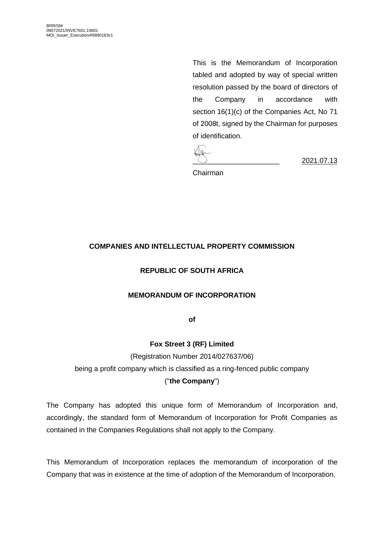This is the Memorandum of Incorporation tabled and adopted by way of special written resolution passed by the board of directors of the Company in accordance with section 16(1)(c) of the Companies Act, No 71 of 2008t, signed by the Chairman for purposes of identification.

\_\_\_\_\_\_\_\_\_\_\_\_\_\_\_\_\_\_\_\_\_\_ 2021.07.13

Chairman

## **COMPANIES AND INTELLECTUAL PROPERTY COMMISSION**

### **REPUBLIC OF SOUTH AFRICA**

#### **MEMORANDUM OF INCORPORATION**

**of**

**Fox Street 3 (RF) Limited**

(Registration Number 2014/027637/06)

being a profit company which is classified as a ring-fenced public company

#### ("**the Company**")

The Company has adopted this unique form of Memorandum of Incorporation and, accordingly, the standard form of Memorandum of Incorporation for Profit Companies as contained in the Companies Regulations shall not apply to the Company.

This Memorandum of Incorporation replaces the memorandum of incorporation of the Company that was in existence at the time of adoption of the Memorandum of Incorporation.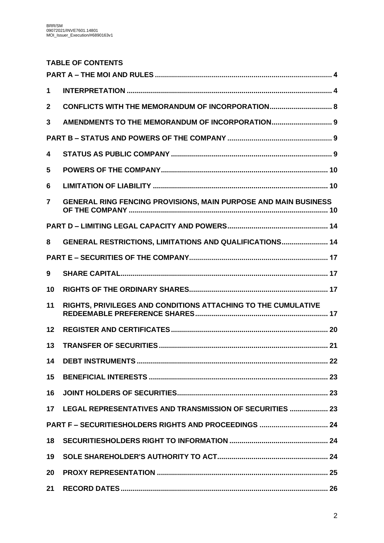# **TABLE OF CONTENTS**

| 1               |                                                                        |  |  |  |  |
|-----------------|------------------------------------------------------------------------|--|--|--|--|
| $\mathbf{2}$    | CONFLICTS WITH THE MEMORANDUM OF INCORPORATION 8                       |  |  |  |  |
| 3               | AMENDMENTS TO THE MEMORANDUM OF INCORPORATION 9                        |  |  |  |  |
|                 |                                                                        |  |  |  |  |
| 4               |                                                                        |  |  |  |  |
| 5               |                                                                        |  |  |  |  |
| 6               |                                                                        |  |  |  |  |
| $\overline{7}$  | <b>GENERAL RING FENCING PROVISIONS, MAIN PURPOSE AND MAIN BUSINESS</b> |  |  |  |  |
|                 |                                                                        |  |  |  |  |
| 8               | GENERAL RESTRICTIONS, LIMITATIONS AND QUALIFICATIONS 14                |  |  |  |  |
|                 |                                                                        |  |  |  |  |
| 9               |                                                                        |  |  |  |  |
| 10              |                                                                        |  |  |  |  |
| 11              | RIGHTS, PRIVILEGES AND CONDITIONS ATTACHING TO THE CUMULATIVE          |  |  |  |  |
| 12              |                                                                        |  |  |  |  |
| 13              |                                                                        |  |  |  |  |
| 14              |                                                                        |  |  |  |  |
| 15              |                                                                        |  |  |  |  |
| 16              |                                                                        |  |  |  |  |
| 17 <sup>1</sup> | LEGAL REPRESENTATIVES AND TRANSMISSION OF SECURITIES  23               |  |  |  |  |
|                 |                                                                        |  |  |  |  |
| 18              |                                                                        |  |  |  |  |
| 19              |                                                                        |  |  |  |  |
| 20              |                                                                        |  |  |  |  |
| 21              |                                                                        |  |  |  |  |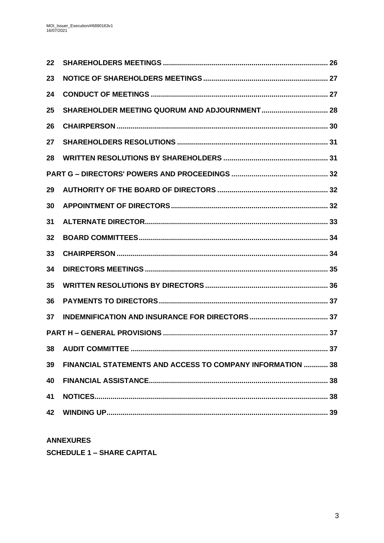| $22 \,$ |                                                            |  |
|---------|------------------------------------------------------------|--|
| 23      |                                                            |  |
| 24      |                                                            |  |
| 25      |                                                            |  |
| 26      |                                                            |  |
| 27      |                                                            |  |
| 28      |                                                            |  |
|         |                                                            |  |
| 29      |                                                            |  |
| 30      |                                                            |  |
| 31      |                                                            |  |
| 32      |                                                            |  |
| 33      |                                                            |  |
| 34      |                                                            |  |
| 35      |                                                            |  |
| 36      |                                                            |  |
| 37      |                                                            |  |
|         |                                                            |  |
| 38      |                                                            |  |
| 39      | FINANCIAL STATEMENTS AND ACCESS TO COMPANY INFORMATION  38 |  |
| 40      |                                                            |  |
| 41      |                                                            |  |
| 42      |                                                            |  |
|         |                                                            |  |

**ANNEXURES SCHEDULE 1 - SHARE CAPITAL**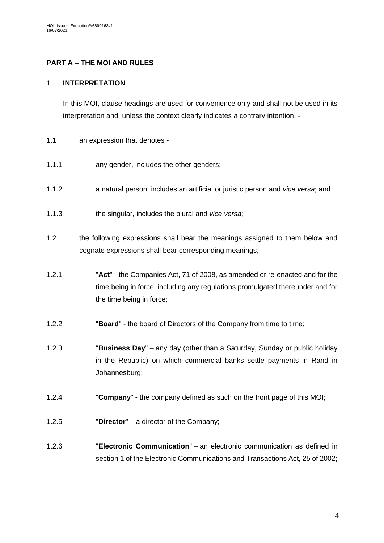## <span id="page-3-0"></span>**PART A – THE MOI AND RULES**

### <span id="page-3-1"></span>1 **INTERPRETATION**

In this MOI, clause headings are used for convenience only and shall not be used in its interpretation and, unless the context clearly indicates a contrary intention, -

- 1.1 an expression that denotes -
- 1.1.1 any gender, includes the other genders;
- 1.1.2 a natural person, includes an artificial or juristic person and *vice versa*; and
- 1.1.3 the singular, includes the plural and *vice versa*;
- 1.2 the following expressions shall bear the meanings assigned to them below and cognate expressions shall bear corresponding meanings, -
- 1.2.1 "**Act**" the Companies Act, 71 of 2008, as amended or re-enacted and for the time being in force, including any regulations promulgated thereunder and for the time being in force;
- 1.2.2 "**Board**" the board of Directors of the Company from time to time;
- 1.2.3 "**Business Day**" any day (other than a Saturday, Sunday or public holiday in the Republic) on which commercial banks settle payments in Rand in Johannesburg;
- 1.2.4 "**Company**" the company defined as such on the front page of this MOI;
- 1.2.5 "**Director**" a director of the Company;
- 1.2.6 "**Electronic Communication**" an electronic communication as defined in section 1 of the Electronic Communications and Transactions Act, 25 of 2002;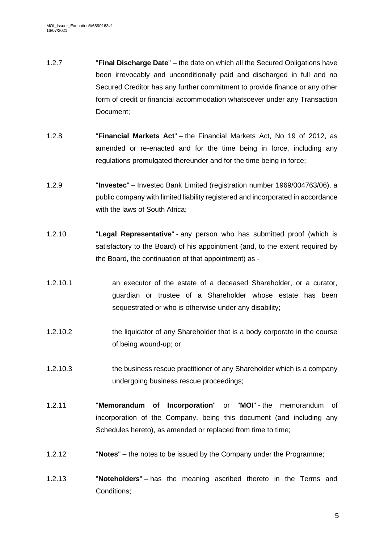- 1.2.7 "**Final Discharge Date**" the date on which all the Secured Obligations have been irrevocably and unconditionally paid and discharged in full and no Secured Creditor has any further commitment to provide finance or any other form of credit or financial accommodation whatsoever under any Transaction Document;
- 1.2.8 "**Financial Markets Act**" the Financial Markets Act, No 19 of 2012, as amended or re-enacted and for the time being in force, including any regulations promulgated thereunder and for the time being in force;
- 1.2.9 "**Investec**" Investec Bank Limited (registration number 1969/004763/06), a public company with limited liability registered and incorporated in accordance with the laws of South Africa;
- 1.2.10 "**Legal Representative**" any person who has submitted proof (which is satisfactory to the Board) of his appointment (and, to the extent required by the Board, the continuation of that appointment) as -
- 1.2.10.1 an executor of the estate of a deceased Shareholder, or a curator, guardian or trustee of a Shareholder whose estate has been sequestrated or who is otherwise under any disability;
- 1.2.10.2 the liquidator of any Shareholder that is a body corporate in the course of being wound-up; or
- 1.2.10.3 the business rescue practitioner of any Shareholder which is a company undergoing business rescue proceedings;
- 1.2.11 "**Memorandum of Incorporation**" or "**MOI**" the memorandum of incorporation of the Company, being this document (and including any Schedules hereto), as amended or replaced from time to time;
- 1.2.12 "**Notes**" the notes to be issued by the Company under the Programme;
- 1.2.13 "**Noteholders**" has the meaning ascribed thereto in the Terms and Conditions;

5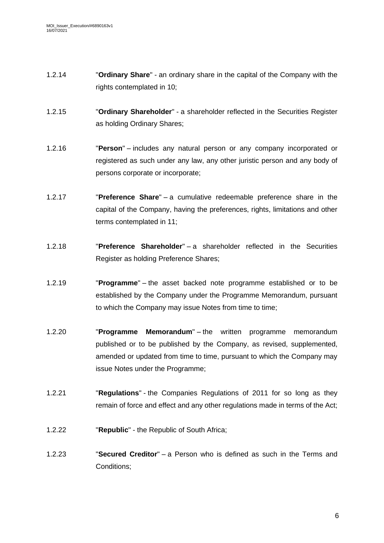- 1.2.14 "**Ordinary Share**" an ordinary share in the capital of the Company with the rights contemplated in [10;](#page-16-2)
- 1.2.15 "**Ordinary Shareholder**" a shareholder reflected in the Securities Register as holding Ordinary Shares;
- 1.2.16 "**Person**" includes any natural person or any company incorporated or registered as such under any law, any other juristic person and any body of persons corporate or incorporate;
- 1.2.17 "**Preference Share**" a cumulative redeemable preference share in the capital of the Company, having the preferences, rights, limitations and other terms contemplated in [11;](#page-16-3)
- 1.2.18 "**Preference Shareholder**" a shareholder reflected in the Securities Register as holding Preference Shares;
- 1.2.19 "**Programme**" the asset backed note programme established or to be established by the Company under the Programme Memorandum, pursuant to which the Company may issue Notes from time to time;
- 1.2.20 "**Programme Memorandum**" the written programme memorandum published or to be published by the Company, as revised, supplemented, amended or updated from time to time, pursuant to which the Company may issue Notes under the Programme;
- 1.2.21 "**Regulations**" the Companies Regulations of 2011 for so long as they remain of force and effect and any other regulations made in terms of the Act;
- 1.2.22 "**Republic**" the Republic of South Africa;
- 1.2.23 "**Secured Creditor**" a Person who is defined as such in the Terms and Conditions;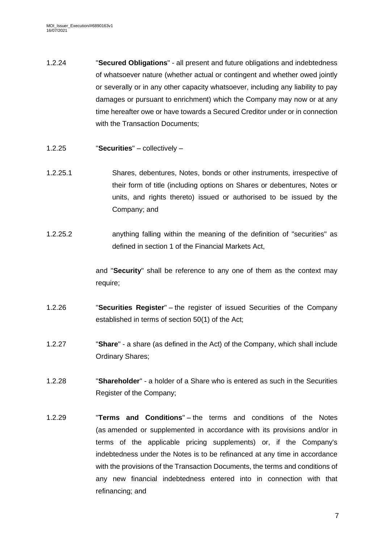- 1.2.24 "**Secured Obligations**" all present and future obligations and indebtedness of whatsoever nature (whether actual or contingent and whether owed jointly or severally or in any other capacity whatsoever, including any liability to pay damages or pursuant to enrichment) which the Company may now or at any time hereafter owe or have towards a Secured Creditor under or in connection with the Transaction Documents:
- 1.2.25 "**Securities**" collectively –
- 1.2.25.1 Shares, debentures, Notes, bonds or other instruments, irrespective of their form of title (including options on Shares or debentures, Notes or units, and rights thereto) issued or authorised to be issued by the Company; and
- 1.2.25.2 anything falling within the meaning of the definition of "securities" as defined in section 1 of the Financial Markets Act,

and "**Security**" shall be reference to any one of them as the context may require;

- 1.2.26 "**Securities Register**" the register of issued Securities of the Company established in terms of section 50(1) of the Act;
- 1.2.27 "**Share**" a share (as defined in the Act) of the Company, which shall include Ordinary Shares;
- 1.2.28 "**Shareholder**" a holder of a Share who is entered as such in the Securities Register of the Company;
- 1.2.29 "**Terms and Conditions**" the terms and conditions of the Notes (as amended or supplemented in accordance with its provisions and/or in terms of the applicable pricing supplements) or, if the Company's indebtedness under the Notes is to be refinanced at any time in accordance with the provisions of the Transaction Documents, the terms and conditions of any new financial indebtedness entered into in connection with that refinancing; and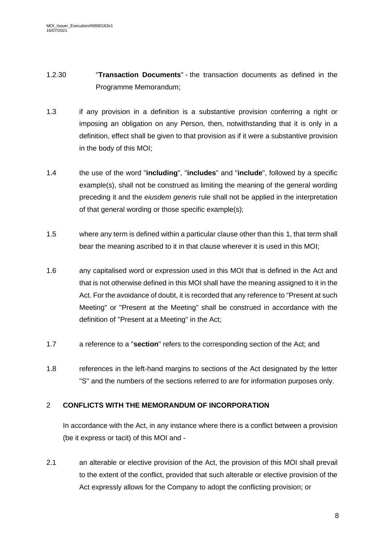- 1.2.30 "**Transaction Documents**" the transaction documents as defined in the Programme Memorandum;
- 1.3 if any provision in a definition is a substantive provision conferring a right or imposing an obligation on any Person, then, notwithstanding that it is only in a definition, effect shall be given to that provision as if it were a substantive provision in the body of this MOI;
- 1.4 the use of the word "**including**", "**includes**" and "**include**", followed by a specific example(s), shall not be construed as limiting the meaning of the general wording preceding it and the *eiusdem generis* rule shall not be applied in the interpretation of that general wording or those specific example(s);
- 1.5 where any term is defined within a particular clause other than this [1,](#page-3-1) that term shall bear the meaning ascribed to it in that clause wherever it is used in this MOI;
- 1.6 any capitalised word or expression used in this MOI that is defined in the Act and that is not otherwise defined in this MOI shall have the meaning assigned to it in the Act. For the avoidance of doubt, it is recorded that any reference to "Present at such Meeting" or "Present at the Meeting" shall be construed in accordance with the definition of "Present at a Meeting" in the Act;
- 1.7 a reference to a "**section**" refers to the corresponding section of the Act; and
- 1.8 references in the left-hand margins to sections of the Act designated by the letter "S" and the numbers of the sections referred to are for information purposes only.

## <span id="page-7-0"></span>2 **CONFLICTS WITH THE MEMORANDUM OF INCORPORATION**

In accordance with the Act, in any instance where there is a conflict between a provision (be it express or tacit) of this MOI and -

2.1 an alterable or elective provision of the Act, the provision of this MOI shall prevail to the extent of the conflict, provided that such alterable or elective provision of the Act expressly allows for the Company to adopt the conflicting provision; or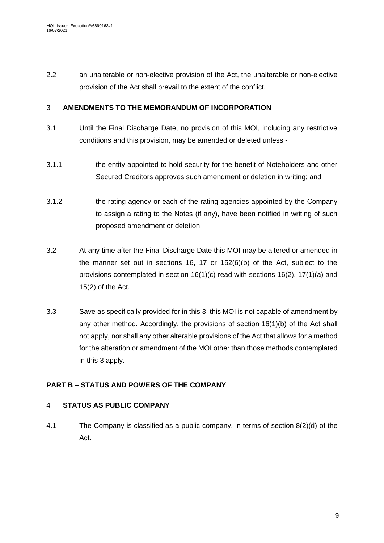2.2 an unalterable or non-elective provision of the Act, the unalterable or non-elective provision of the Act shall prevail to the extent of the conflict.

## <span id="page-8-0"></span>3 **AMENDMENTS TO THE MEMORANDUM OF INCORPORATION**

- 3.1 Until the Final Discharge Date, no provision of this MOI, including any restrictive conditions and this provision, may be amended or deleted unless -
- 3.1.1 the entity appointed to hold security for the benefit of Noteholders and other Secured Creditors approves such amendment or deletion in writing; and
- 3.1.2 the rating agency or each of the rating agencies appointed by the Company to assign a rating to the Notes (if any), have been notified in writing of such proposed amendment or deletion.
- 3.2 At any time after the Final Discharge Date this MOI may be altered or amended in the manner set out in sections 16, 17 or  $152(6)(b)$  of the Act, subject to the provisions contemplated in section 16(1)(c) read with sections 16(2), 17(1)(a) and 15(2) of the Act.
- 3.3 Save as specifically provided for in this [3,](#page-8-0) this MOI is not capable of amendment by any other method. Accordingly, the provisions of section 16(1)(b) of the Act shall not apply, nor shall any other alterable provisions of the Act that allows for a method for the alteration or amendment of the MOI other than those methods contemplated in this [3](#page-8-0) apply.

# <span id="page-8-1"></span>**PART B – STATUS AND POWERS OF THE COMPANY**

## <span id="page-8-2"></span>4 **STATUS AS PUBLIC COMPANY**

4.1 The Company is classified as a public company, in terms of section 8(2)(d) of the Act.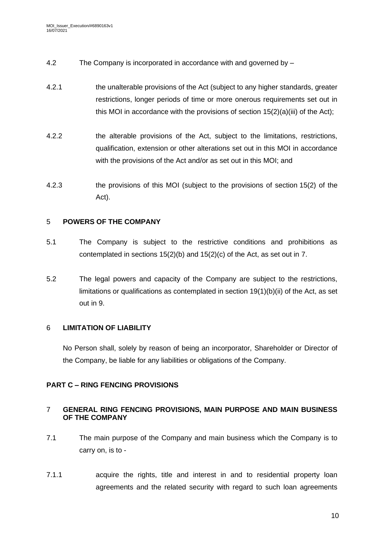- 4.2 The Company is incorporated in accordance with and governed by –
- 4.2.1 the unalterable provisions of the Act (subject to any higher standards, greater restrictions, longer periods of time or more onerous requirements set out in this MOI in accordance with the provisions of section  $15(2)(a)(iii)$  of the Act);
- 4.2.2 the alterable provisions of the Act, subject to the limitations, restrictions, qualification, extension or other alterations set out in this MOI in accordance with the provisions of the Act and/or as set out in this MOI; and
- 4.2.3 the provisions of this MOI (subject to the provisions of section 15(2) of the Act).

## <span id="page-9-0"></span>5 **POWERS OF THE COMPANY**

- 5.1 The Company is subject to the restrictive conditions and prohibitions as contemplated in sections 15(2)(b) and 15(2)(c) of the Act, as set out in [7.](#page-9-2)
- 5.2 The legal powers and capacity of the Company are subject to the restrictions, limitations or qualifications as contemplated in section 19(1)(b)(ii) of the Act, as set out in 9.

## <span id="page-9-1"></span>6 **LIMITATION OF LIABILITY**

No Person shall, solely by reason of being an incorporator, Shareholder or Director of the Company, be liable for any liabilities or obligations of the Company.

# **PART C – RING FENCING PROVISIONS**

## <span id="page-9-2"></span>7 **GENERAL RING FENCING PROVISIONS, MAIN PURPOSE AND MAIN BUSINESS OF THE COMPANY**

- 7.1 The main purpose of the Company and main business which the Company is to carry on, is to -
- <span id="page-9-3"></span>7.1.1 acquire the rights, title and interest in and to residential property loan agreements and the related security with regard to such loan agreements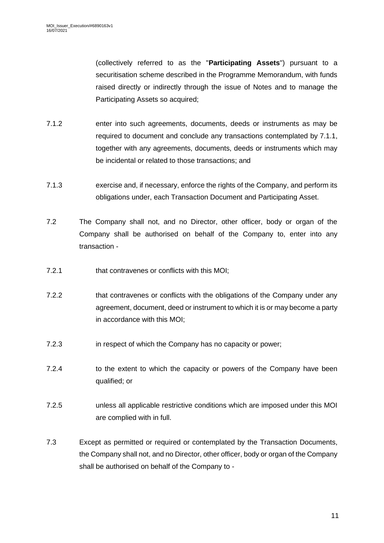(collectively referred to as the "**Participating Assets**") pursuant to a securitisation scheme described in the Programme Memorandum, with funds raised directly or indirectly through the issue of Notes and to manage the Participating Assets so acquired;

- 7.1.2 enter into such agreements, documents, deeds or instruments as may be required to document and conclude any transactions contemplated by [7.1.1,](#page-9-3) together with any agreements, documents, deeds or instruments which may be incidental or related to those transactions; and
- 7.1.3 exercise and, if necessary, enforce the rights of the Company, and perform its obligations under, each Transaction Document and Participating Asset.
- 7.2 The Company shall not, and no Director, other officer, body or organ of the Company shall be authorised on behalf of the Company to, enter into any transaction -
- 7.2.1 that contravenes or conflicts with this MOI;
- 7.2.2 that contravenes or conflicts with the obligations of the Company under any agreement, document, deed or instrument to which it is or may become a party in accordance with this MOI;
- 7.2.3 in respect of which the Company has no capacity or power;
- 7.2.4 to the extent to which the capacity or powers of the Company have been qualified; or
- 7.2.5 unless all applicable restrictive conditions which are imposed under this MOI are complied with in full.
- 7.3 Except as permitted or required or contemplated by the Transaction Documents, the Company shall not, and no Director, other officer, body or organ of the Company shall be authorised on behalf of the Company to -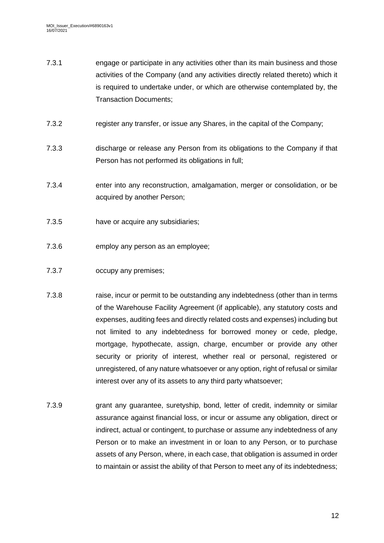- 7.3.1 engage or participate in any activities other than its main business and those activities of the Company (and any activities directly related thereto) which it is required to undertake under, or which are otherwise contemplated by, the Transaction Documents;
- 7.3.2 register any transfer, or issue any Shares, in the capital of the Company;
- 7.3.3 discharge or release any Person from its obligations to the Company if that Person has not performed its obligations in full;
- 7.3.4 enter into any reconstruction, amalgamation, merger or consolidation, or be acquired by another Person;
- 7.3.5 have or acquire any subsidiaries;
- 7.3.6 employ any person as an employee;
- 7.3.7 occupy any premises;
- 7.3.8 raise, incur or permit to be outstanding any indebtedness (other than in terms of the Warehouse Facility Agreement (if applicable), any statutory costs and expenses, auditing fees and directly related costs and expenses) including but not limited to any indebtedness for borrowed money or cede, pledge, mortgage, hypothecate, assign, charge, encumber or provide any other security or priority of interest, whether real or personal, registered or unregistered, of any nature whatsoever or any option, right of refusal or similar interest over any of its assets to any third party whatsoever;
- 7.3.9 grant any guarantee, suretyship, bond, letter of credit, indemnity or similar assurance against financial loss, or incur or assume any obligation, direct or indirect, actual or contingent, to purchase or assume any indebtedness of any Person or to make an investment in or loan to any Person, or to purchase assets of any Person, where, in each case, that obligation is assumed in order to maintain or assist the ability of that Person to meet any of its indebtedness;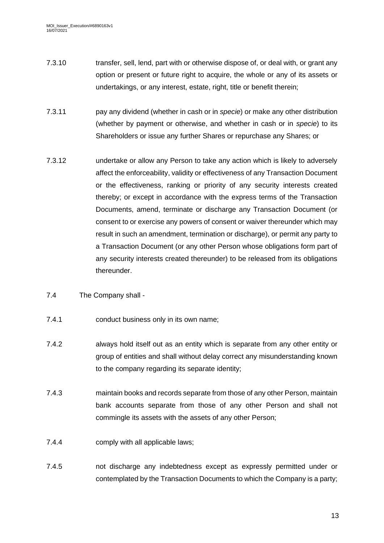- 7.3.10 transfer, sell, lend, part with or otherwise dispose of, or deal with, or grant any option or present or future right to acquire, the whole or any of its assets or undertakings, or any interest, estate, right, title or benefit therein;
- 7.3.11 pay any dividend (whether in cash or in *specie*) or make any other distribution (whether by payment or otherwise, and whether in cash or in *specie*) to its Shareholders or issue any further Shares or repurchase any Shares; or
- 7.3.12 undertake or allow any Person to take any action which is likely to adversely affect the enforceability, validity or effectiveness of any Transaction Document or the effectiveness, ranking or priority of any security interests created thereby; or except in accordance with the express terms of the Transaction Documents, amend, terminate or discharge any Transaction Document (or consent to or exercise any powers of consent or waiver thereunder which may result in such an amendment, termination or discharge), or permit any party to a Transaction Document (or any other Person whose obligations form part of any security interests created thereunder) to be released from its obligations thereunder.
- 7.4 The Company shall -
- 7.4.1 conduct business only in its own name;
- 7.4.2 always hold itself out as an entity which is separate from any other entity or group of entities and shall without delay correct any misunderstanding known to the company regarding its separate identity;
- 7.4.3 maintain books and records separate from those of any other Person, maintain bank accounts separate from those of any other Person and shall not commingle its assets with the assets of any other Person;
- 7.4.4 comply with all applicable laws;
- 7.4.5 not discharge any indebtedness except as expressly permitted under or contemplated by the Transaction Documents to which the Company is a party;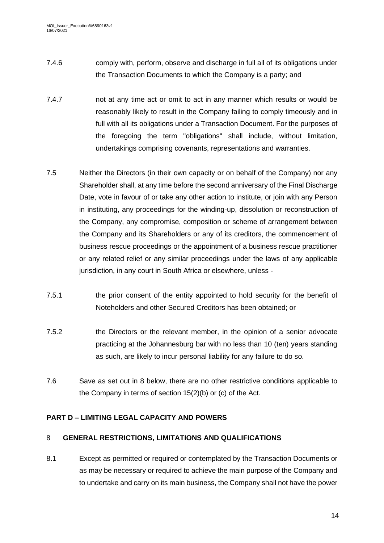- 7.4.6 comply with, perform, observe and discharge in full all of its obligations under the Transaction Documents to which the Company is a party; and
- 7.4.7 not at any time act or omit to act in any manner which results or would be reasonably likely to result in the Company failing to comply timeously and in full with all its obligations under a Transaction Document. For the purposes of the foregoing the term "obligations" shall include, without limitation, undertakings comprising covenants, representations and warranties.
- <span id="page-13-3"></span>7.5 Neither the Directors (in their own capacity or on behalf of the Company) nor any Shareholder shall, at any time before the second anniversary of the Final Discharge Date, vote in favour of or take any other action to institute, or join with any Person in instituting, any proceedings for the winding-up, dissolution or reconstruction of the Company, any compromise, composition or scheme of arrangement between the Company and its Shareholders or any of its creditors, the commencement of business rescue proceedings or the appointment of a business rescue practitioner or any related relief or any similar proceedings under the laws of any applicable jurisdiction, in any court in South Africa or elsewhere, unless -
- 7.5.1 the prior consent of the entity appointed to hold security for the benefit of Noteholders and other Secured Creditors has been obtained; or
- 7.5.2 the Directors or the relevant member, in the opinion of a senior advocate practicing at the Johannesburg bar with no less than 10 (ten) years standing as such, are likely to incur personal liability for any failure to do so.
- 7.6 Save as set out in [8](#page-13-1) below, there are no other restrictive conditions applicable to the Company in terms of section 15(2)(b) or (c) of the Act.

# <span id="page-13-0"></span>**PART D – LIMITING LEGAL CAPACITY AND POWERS**

## <span id="page-13-1"></span>8 **GENERAL RESTRICTIONS, LIMITATIONS AND QUALIFICATIONS**

<span id="page-13-2"></span>8.1 Except as permitted or required or contemplated by the Transaction Documents or as may be necessary or required to achieve the main purpose of the Company and to undertake and carry on its main business, the Company shall not have the power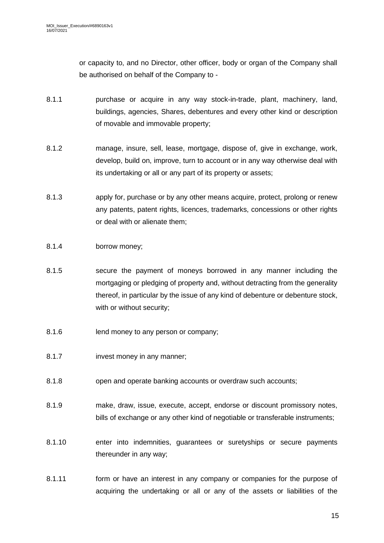or capacity to, and no Director, other officer, body or organ of the Company shall be authorised on behalf of the Company to -

- 8.1.1 purchase or acquire in any way stock-in-trade, plant, machinery, land, buildings, agencies, Shares, debentures and every other kind or description of movable and immovable property;
- 8.1.2 manage, insure, sell, lease, mortgage, dispose of, give in exchange, work, develop, build on, improve, turn to account or in any way otherwise deal with its undertaking or all or any part of its property or assets;
- 8.1.3 apply for, purchase or by any other means acquire, protect, prolong or renew any patents, patent rights, licences, trademarks, concessions or other rights or deal with or alienate them;
- 8.1.4 borrow money;
- 8.1.5 secure the payment of moneys borrowed in any manner including the mortgaging or pledging of property and, without detracting from the generality thereof, in particular by the issue of any kind of debenture or debenture stock, with or without security;
- 8.1.6 lend money to any person or company;
- 8.1.7 invest money in any manner;
- 8.1.8 open and operate banking accounts or overdraw such accounts;
- 8.1.9 make, draw, issue, execute, accept, endorse or discount promissory notes, bills of exchange or any other kind of negotiable or transferable instruments;
- 8.1.10 enter into indemnities, guarantees or suretyships or secure payments thereunder in any way;
- 8.1.11 form or have an interest in any company or companies for the purpose of acquiring the undertaking or all or any of the assets or liabilities of the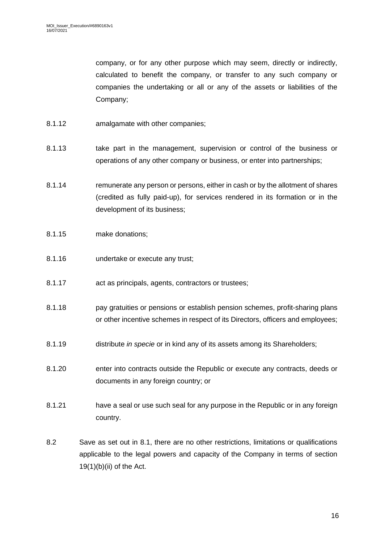company, or for any other purpose which may seem, directly or indirectly, calculated to benefit the company, or transfer to any such company or companies the undertaking or all or any of the assets or liabilities of the Company;

- 8.1.12 amalgamate with other companies;
- 8.1.13 take part in the management, supervision or control of the business or operations of any other company or business, or enter into partnerships;
- 8.1.14 remunerate any person or persons, either in cash or by the allotment of shares (credited as fully paid-up), for services rendered in its formation or in the development of its business;
- 8.1.15 make donations;
- 8.1.16 undertake or execute any trust;
- 8.1.17 act as principals, agents, contractors or trustees;
- 8.1.18 pay gratuities or pensions or establish pension schemes, profit-sharing plans or other incentive schemes in respect of its Directors, officers and employees;
- 8.1.19 distribute *in specie* or in kind any of its assets among its Shareholders;
- 8.1.20 enter into contracts outside the Republic or execute any contracts, deeds or documents in any foreign country; or
- 8.1.21 have a seal or use such seal for any purpose in the Republic or in any foreign country.
- 8.2 Save as set out in [8.1,](#page-13-2) there are no other restrictions, limitations or qualifications applicable to the legal powers and capacity of the Company in terms of section  $19(1)(b)(ii)$  of the Act.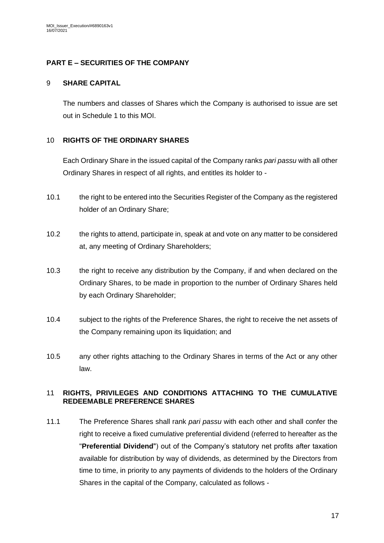## <span id="page-16-0"></span>**PART E – SECURITIES OF THE COMPANY**

### <span id="page-16-1"></span>9 **SHARE CAPITAL**

The numbers and classes of Shares which the Company is authorised to issue are set out in Schedule 1 to this MOI.

## <span id="page-16-2"></span>10 **RIGHTS OF THE ORDINARY SHARES**

Each Ordinary Share in the issued capital of the Company ranks *pari passu* with all other Ordinary Shares in respect of all rights, and entitles its holder to -

- 10.1 the right to be entered into the Securities Register of the Company as the registered holder of an Ordinary Share;
- 10.2 the rights to attend, participate in, speak at and vote on any matter to be considered at, any meeting of Ordinary Shareholders;
- 10.3 the right to receive any distribution by the Company, if and when declared on the Ordinary Shares, to be made in proportion to the number of Ordinary Shares held by each Ordinary Shareholder;
- 10.4 subject to the rights of the Preference Shares, the right to receive the net assets of the Company remaining upon its liquidation; and
- 10.5 any other rights attaching to the Ordinary Shares in terms of the Act or any other law.

### <span id="page-16-3"></span>11 **RIGHTS, PRIVILEGES AND CONDITIONS ATTACHING TO THE CUMULATIVE REDEEMABLE PREFERENCE SHARES**

<span id="page-16-4"></span>11.1 The Preference Shares shall rank *pari passu* with each other and shall confer the right to receive a fixed cumulative preferential dividend (referred to hereafter as the "**Preferential Dividend**") out of the Company's statutory net profits after taxation available for distribution by way of dividends, as determined by the Directors from time to time, in priority to any payments of dividends to the holders of the Ordinary Shares in the capital of the Company, calculated as follows -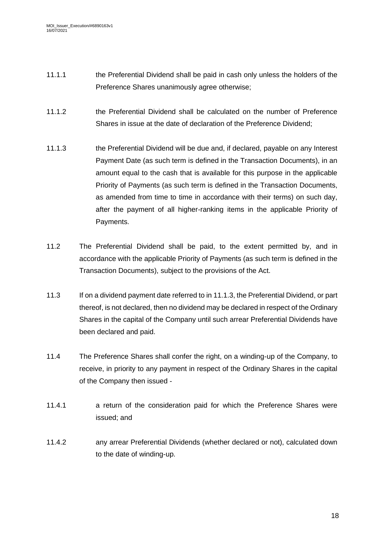- 11.1.1 the Preferential Dividend shall be paid in cash only unless the holders of the Preference Shares unanimously agree otherwise;
- 11.1.2 the Preferential Dividend shall be calculated on the number of Preference Shares in issue at the date of declaration of the Preference Dividend;
- <span id="page-17-0"></span>11.1.3 the Preferential Dividend will be due and, if declared, payable on any Interest Payment Date (as such term is defined in the Transaction Documents), in an amount equal to the cash that is available for this purpose in the applicable Priority of Payments (as such term is defined in the Transaction Documents, as amended from time to time in accordance with their terms) on such day, after the payment of all higher-ranking items in the applicable Priority of Payments.
- <span id="page-17-1"></span>11.2 The Preferential Dividend shall be paid, to the extent permitted by, and in accordance with the applicable Priority of Payments (as such term is defined in the Transaction Documents), subject to the provisions of the Act.
- 11.3 If on a dividend payment date referred to in [11.1.3,](#page-17-0) the Preferential Dividend, or part thereof, is not declared, then no dividend may be declared in respect of the Ordinary Shares in the capital of the Company until such arrear Preferential Dividends have been declared and paid.
- 11.4 The Preference Shares shall confer the right, on a winding-up of the Company, to receive, in priority to any payment in respect of the Ordinary Shares in the capital of the Company then issued -
- 11.4.1 a return of the consideration paid for which the Preference Shares were issued; and
- 11.4.2 any arrear Preferential Dividends (whether declared or not), calculated down to the date of winding-up.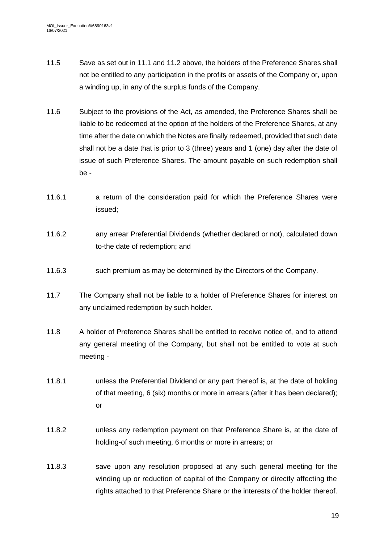- 11.5 Save as set out in [11.1](#page-16-4) and [11.2](#page-17-1) above, the holders of the Preference Shares shall not be entitled to any participation in the profits or assets of the Company or, upon a winding up, in any of the surplus funds of the Company.
- 11.6 Subject to the provisions of the Act, as amended, the Preference Shares shall be liable to be redeemed at the option of the holders of the Preference Shares, at any time after the date on which the Notes are finally redeemed, provided that such date shall not be a date that is prior to 3 (three) years and 1 (one) day after the date of issue of such Preference Shares. The amount payable on such redemption shall be -
- 11.6.1 a return of the consideration paid for which the Preference Shares were issued;
- 11.6.2 any arrear Preferential Dividends (whether declared or not), calculated down to-the date of redemption; and
- 11.6.3 such premium as may be determined by the Directors of the Company.
- 11.7 The Company shall not be liable to a holder of Preference Shares for interest on any unclaimed redemption by such holder.
- 11.8 A holder of Preference Shares shall be entitled to receive notice of, and to attend any general meeting of the Company, but shall not be entitled to vote at such meeting -
- 11.8.1 unless the Preferential Dividend or any part thereof is, at the date of holding of that meeting, 6 (six) months or more in arrears (after it has been declared); or
- 11.8.2 unless any redemption payment on that Preference Share is, at the date of holding-of such meeting, 6 months or more in arrears; or
- 11.8.3 save upon any resolution proposed at any such general meeting for the winding up or reduction of capital of the Company or directly affecting the rights attached to that Preference Share or the interests of the holder thereof.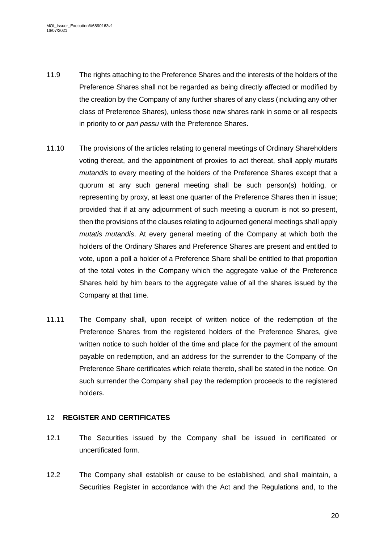- 11.9 The rights attaching to the Preference Shares and the interests of the holders of the Preference Shares shall not be regarded as being directly affected or modified by the creation by the Company of any further shares of any class (including any other class of Preference Shares), unless those new shares rank in some or all respects in priority to or *pari passu* with the Preference Shares.
- 11.10 The provisions of the articles relating to general meetings of Ordinary Shareholders voting thereat, and the appointment of proxies to act thereat, shall apply *mutatis mutandis* to every meeting of the holders of the Preference Shares except that a quorum at any such general meeting shall be such person(s) holding, or representing by proxy, at least one quarter of the Preference Shares then in issue; provided that if at any adjournment of such meeting a quorum is not so present, then the provisions of the clauses relating to adjourned general meetings shall apply *mutatis mutandis*. At every general meeting of the Company at which both the holders of the Ordinary Shares and Preference Shares are present and entitled to vote, upon a poll a holder of a Preference Share shall be entitled to that proportion of the total votes in the Company which the aggregate value of the Preference Shares held by him bears to the aggregate value of all the shares issued by the Company at that time.
- 11.11 The Company shall, upon receipt of written notice of the redemption of the Preference Shares from the registered holders of the Preference Shares, give written notice to such holder of the time and place for the payment of the amount payable on redemption, and an address for the surrender to the Company of the Preference Share certificates which relate thereto, shall be stated in the notice. On such surrender the Company shall pay the redemption proceeds to the registered holders.

# <span id="page-19-0"></span>12 **REGISTER AND CERTIFICATES**

- 12.1 The Securities issued by the Company shall be issued in certificated or uncertificated form.
- 12.2 The Company shall establish or cause to be established, and shall maintain, a Securities Register in accordance with the Act and the Regulations and, to the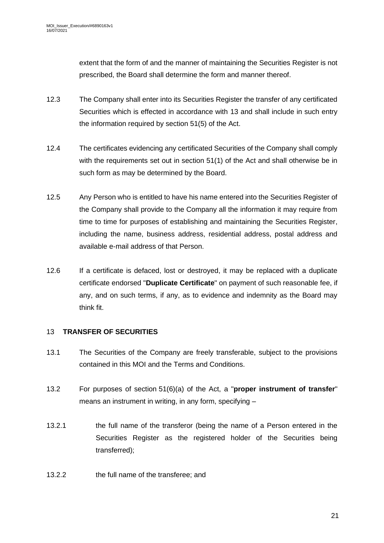extent that the form of and the manner of maintaining the Securities Register is not prescribed, the Board shall determine the form and manner thereof.

- 12.3 The Company shall enter into its Securities Register the transfer of any certificated Securities which is effected in accordance with [13](#page-20-0) and shall include in such entry the information required by section 51(5) of the Act.
- 12.4 The certificates evidencing any certificated Securities of the Company shall comply with the requirements set out in section 51(1) of the Act and shall otherwise be in such form as may be determined by the Board.
- 12.5 Any Person who is entitled to have his name entered into the Securities Register of the Company shall provide to the Company all the information it may require from time to time for purposes of establishing and maintaining the Securities Register, including the name, business address, residential address, postal address and available e-mail address of that Person.
- <span id="page-20-1"></span>12.6 If a certificate is defaced, lost or destroyed, it may be replaced with a duplicate certificate endorsed "**Duplicate Certificate**" on payment of such reasonable fee, if any, and on such terms, if any, as to evidence and indemnity as the Board may think fit.

## <span id="page-20-0"></span>13 **TRANSFER OF SECURITIES**

- 13.1 The Securities of the Company are freely transferable, subject to the provisions contained in this MOI and the Terms and Conditions.
- 13.2 For purposes of section 51(6)(a) of the Act, a "**proper instrument of transfer**" means an instrument in writing, in any form, specifying –
- 13.2.1 the full name of the transferor (being the name of a Person entered in the Securities Register as the registered holder of the Securities being transferred);
- 13.2.2 the full name of the transferee; and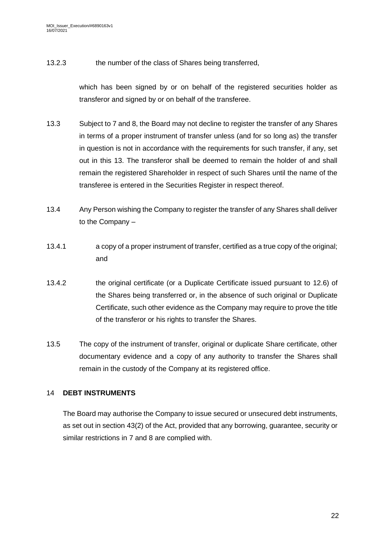13.2.3 the number of the class of Shares being transferred,

which has been signed by or on behalf of the registered securities holder as transferor and signed by or on behalf of the transferee.

- 13.3 Subject to [7](#page-9-2) and [8,](#page-13-1) the Board may not decline to register the transfer of any Shares in terms of a proper instrument of transfer unless (and for so long as) the transfer in question is not in accordance with the requirements for such transfer, if any, set out in this [13.](#page-20-0) The transferor shall be deemed to remain the holder of and shall remain the registered Shareholder in respect of such Shares until the name of the transferee is entered in the Securities Register in respect thereof.
- 13.4 Any Person wishing the Company to register the transfer of any Shares shall deliver to the Company –
- 13.4.1 a copy of a proper instrument of transfer, certified as a true copy of the original; and
- 13.4.2 the original certificate (or a Duplicate Certificate issued pursuant to [12.6\)](#page-20-1) of the Shares being transferred or, in the absence of such original or Duplicate Certificate, such other evidence as the Company may require to prove the title of the transferor or his rights to transfer the Shares.
- 13.5 The copy of the instrument of transfer, original or duplicate Share certificate, other documentary evidence and a copy of any authority to transfer the Shares shall remain in the custody of the Company at its registered office.

## <span id="page-21-0"></span>14 **DEBT INSTRUMENTS**

The Board may authorise the Company to issue secured or unsecured debt instruments, as set out in section 43(2) of the Act, provided that any borrowing, guarantee, security or similar restrictions in [7](#page-9-2) and [8](#page-13-1) are complied with.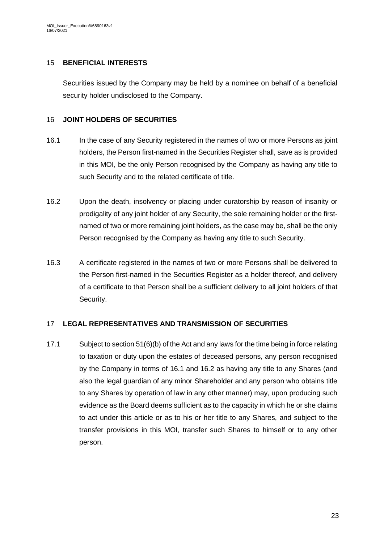### <span id="page-22-0"></span>15 **BENEFICIAL INTERESTS**

Securities issued by the Company may be held by a nominee on behalf of a beneficial security holder undisclosed to the Company.

### <span id="page-22-1"></span>16 **JOINT HOLDERS OF SECURITIES**

- <span id="page-22-3"></span>16.1 In the case of any Security registered in the names of two or more Persons as joint holders, the Person first-named in the Securities Register shall, save as is provided in this MOI, be the only Person recognised by the Company as having any title to such Security and to the related certificate of title.
- <span id="page-22-4"></span>16.2 Upon the death, insolvency or placing under curatorship by reason of insanity or prodigality of any joint holder of any Security, the sole remaining holder or the firstnamed of two or more remaining joint holders, as the case may be, shall be the only Person recognised by the Company as having any title to such Security.
- 16.3 A certificate registered in the names of two or more Persons shall be delivered to the Person first-named in the Securities Register as a holder thereof, and delivery of a certificate to that Person shall be a sufficient delivery to all joint holders of that Security.

## <span id="page-22-2"></span>17 **LEGAL REPRESENTATIVES AND TRANSMISSION OF SECURITIES**

17.1 Subject to section 51(6)(b) of the Act and any laws for the time being in force relating to taxation or duty upon the estates of deceased persons, any person recognised by the Company in terms of [16.1](#page-22-3) and [16.2](#page-22-4) as having any title to any Shares (and also the legal guardian of any minor Shareholder and any person who obtains title to any Shares by operation of law in any other manner) may, upon producing such evidence as the Board deems sufficient as to the capacity in which he or she claims to act under this article or as to his or her title to any Shares, and subject to the transfer provisions in this MOI, transfer such Shares to himself or to any other person.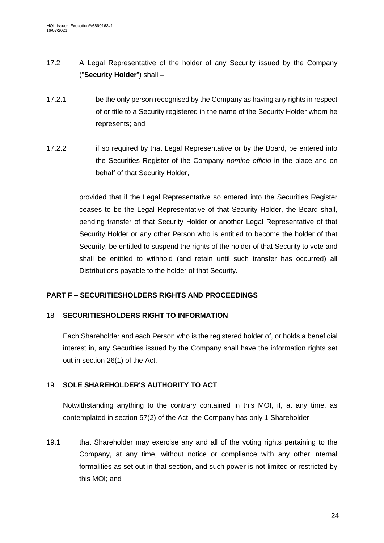- 17.2 A Legal Representative of the holder of any Security issued by the Company ("**Security Holder**") shall –
- 17.2.1 be the only person recognised by the Company as having any rights in respect of or title to a Security registered in the name of the Security Holder whom he represents; and
- 17.2.2 if so required by that Legal Representative or by the Board, be entered into the Securities Register of the Company *nomine officio* in the place and on behalf of that Security Holder,

provided that if the Legal Representative so entered into the Securities Register ceases to be the Legal Representative of that Security Holder, the Board shall, pending transfer of that Security Holder or another Legal Representative of that Security Holder or any other Person who is entitled to become the holder of that Security, be entitled to suspend the rights of the holder of that Security to vote and shall be entitled to withhold (and retain until such transfer has occurred) all Distributions payable to the holder of that Security.

## <span id="page-23-0"></span>**PART F – SECURITIESHOLDERS RIGHTS AND PROCEEDINGS**

## <span id="page-23-1"></span>18 **SECURITIESHOLDERS RIGHT TO INFORMATION**

Each Shareholder and each Person who is the registered holder of, or holds a beneficial interest in, any Securities issued by the Company shall have the information rights set out in section 26(1) of the Act.

## <span id="page-23-2"></span>19 **SOLE SHAREHOLDER'S AUTHORITY TO ACT**

Notwithstanding anything to the contrary contained in this MOI, if, at any time, as contemplated in section 57(2) of the Act, the Company has only 1 Shareholder –

19.1 that Shareholder may exercise any and all of the voting rights pertaining to the Company, at any time, without notice or compliance with any other internal formalities as set out in that section, and such power is not limited or restricted by this MOI; and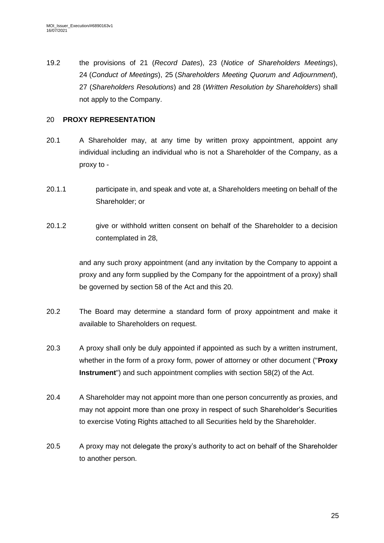19.2 the provisions of [21](#page-25-0) (*Record Dates*), [23](#page-26-0) (*Notice of Shareholders Meetings*), [24](#page-26-1) (*Conduct of Meetings*), [25](#page-27-0) (*Shareholders Meeting Quorum and Adjournment*), [27](#page-30-0) (*Shareholders Resolutions*) and [28](#page-30-1) (*Written Resolution by Shareholders*) shall not apply to the Company.

# <span id="page-24-0"></span>20 **PROXY REPRESENTATION**

- 20.1 A Shareholder may, at any time by written proxy appointment, appoint any individual including an individual who is not a Shareholder of the Company, as a proxy to -
- 20.1.1 participate in, and speak and vote at, a Shareholders meeting on behalf of the Shareholder; or
- 20.1.2 give or withhold written consent on behalf of the Shareholder to a decision contemplated in [28,](#page-30-1)

and any such proxy appointment (and any invitation by the Company to appoint a proxy and any form supplied by the Company for the appointment of a proxy) shall be governed by section 58 of the Act and this [20.](#page-24-0)

- 20.2 The Board may determine a standard form of proxy appointment and make it available to Shareholders on request.
- 20.3 A proxy shall only be duly appointed if appointed as such by a written instrument, whether in the form of a proxy form, power of attorney or other document ("**Proxy Instrument**") and such appointment complies with section 58(2) of the Act.
- 20.4 A Shareholder may not appoint more than one person concurrently as proxies, and may not appoint more than one proxy in respect of such Shareholder's Securities to exercise Voting Rights attached to all Securities held by the Shareholder.
- 20.5 A proxy may not delegate the proxy's authority to act on behalf of the Shareholder to another person.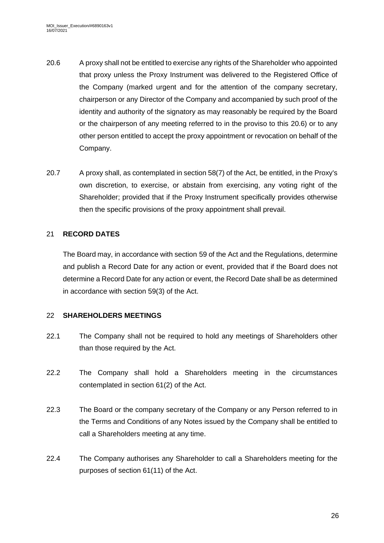- <span id="page-25-2"></span>20.6 A proxy shall not be entitled to exercise any rights of the Shareholder who appointed that proxy unless the Proxy Instrument was delivered to the Registered Office of the Company (marked urgent and for the attention of the company secretary, chairperson or any Director of the Company and accompanied by such proof of the identity and authority of the signatory as may reasonably be required by the Board or the chairperson of any meeting referred to in the proviso to this [20.6\)](#page-25-2) or to any other person entitled to accept the proxy appointment or revocation on behalf of the Company.
- 20.7 A proxy shall, as contemplated in section 58(7) of the Act, be entitled, in the Proxy's own discretion, to exercise, or abstain from exercising, any voting right of the Shareholder; provided that if the Proxy Instrument specifically provides otherwise then the specific provisions of the proxy appointment shall prevail.

## <span id="page-25-0"></span>21 **RECORD DATES**

The Board may, in accordance with section 59 of the Act and the Regulations, determine and publish a Record Date for any action or event, provided that if the Board does not determine a Record Date for any action or event, the Record Date shall be as determined in accordance with section 59(3) of the Act.

## <span id="page-25-1"></span>22 **SHAREHOLDERS MEETINGS**

- 22.1 The Company shall not be required to hold any meetings of Shareholders other than those required by the Act.
- 22.2 The Company shall hold a Shareholders meeting in the circumstances contemplated in section 61(2) of the Act.
- 22.3 The Board or the company secretary of the Company or any Person referred to in the Terms and Conditions of any Notes issued by the Company shall be entitled to call a Shareholders meeting at any time.
- 22.4 The Company authorises any Shareholder to call a Shareholders meeting for the purposes of section 61(11) of the Act.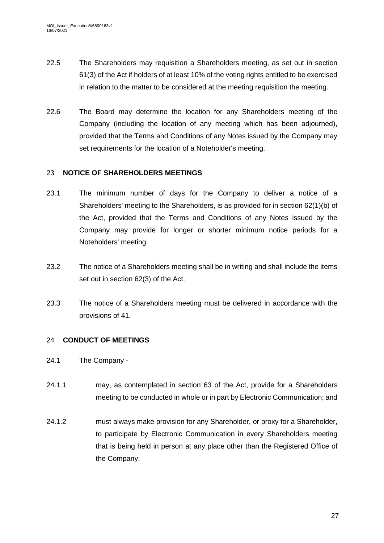- 22.5 The Shareholders may requisition a Shareholders meeting, as set out in section 61(3) of the Act if holders of at least 10% of the voting rights entitled to be exercised in relation to the matter to be considered at the meeting requisition the meeting.
- 22.6 The Board may determine the location for any Shareholders meeting of the Company (including the location of any meeting which has been adjourned), provided that the Terms and Conditions of any Notes issued by the Company may set requirements for the location of a Noteholder's meeting.

### <span id="page-26-0"></span>23 **NOTICE OF SHAREHOLDERS MEETINGS**

- 23.1 The minimum number of days for the Company to deliver a notice of a Shareholders' meeting to the Shareholders, is as provided for in section 62(1)(b) of the Act, provided that the Terms and Conditions of any Notes issued by the Company may provide for longer or shorter minimum notice periods for a Noteholders' meeting.
- 23.2 The notice of a Shareholders meeting shall be in writing and shall include the items set out in section 62(3) of the Act.
- 23.3 The notice of a Shareholders meeting must be delivered in accordance with the provisions of [41.](#page-37-2)

## <span id="page-26-1"></span>24 **CONDUCT OF MEETINGS**

- 24.1 The Company -
- 24.1.1 may, as contemplated in section 63 of the Act, provide for a Shareholders meeting to be conducted in whole or in part by Electronic Communication; and
- 24.1.2 must always make provision for any Shareholder, or proxy for a Shareholder, to participate by Electronic Communication in every Shareholders meeting that is being held in person at any place other than the Registered Office of the Company.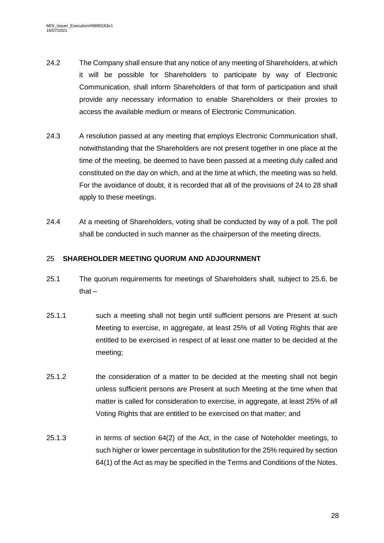- 24.2 The Company shall ensure that any notice of any meeting of Shareholders, at which it will be possible for Shareholders to participate by way of Electronic Communication, shall inform Shareholders of that form of participation and shall provide any necessary information to enable Shareholders or their proxies to access the available medium or means of Electronic Communication.
- 24.3 A resolution passed at any meeting that employs Electronic Communication shall, notwithstanding that the Shareholders are not present together in one place at the time of the meeting, be deemed to have been passed at a meeting duly called and constituted on the day on which, and at the time at which, the meeting was so held. For the avoidance of doubt, it is recorded that all of the provisions of [24](#page-26-1) to [28](#page-30-1) shall apply to these meetings.
- 24.4 At a meeting of Shareholders, voting shall be conducted by way of a poll. The poll shall be conducted in such manner as the chairperson of the meeting directs.

## <span id="page-27-0"></span>25 **SHAREHOLDER MEETING QUORUM AND ADJOURNMENT**

- <span id="page-27-1"></span>25.1 The quorum requirements for meetings of Shareholders shall, subject to [25.6,](#page-29-1) be that $-$
- 25.1.1 such a meeting shall not begin until sufficient persons are Present at such Meeting to exercise, in aggregate, at least 25% of all Voting Rights that are entitled to be exercised in respect of at least one matter to be decided at the meeting;
- 25.1.2 the consideration of a matter to be decided at the meeting shall not begin unless sufficient persons are Present at such Meeting at the time when that matter is called for consideration to exercise, in aggregate, at least 25% of all Voting Rights that are entitled to be exercised on that matter; and
- 25.1.3 in terms of section 64(2) of the Act, in the case of Noteholder meetings, to such higher or lower percentage in substitution for the 25% required by section 64(1) of the Act as may be specified in the Terms and Conditions of the Notes.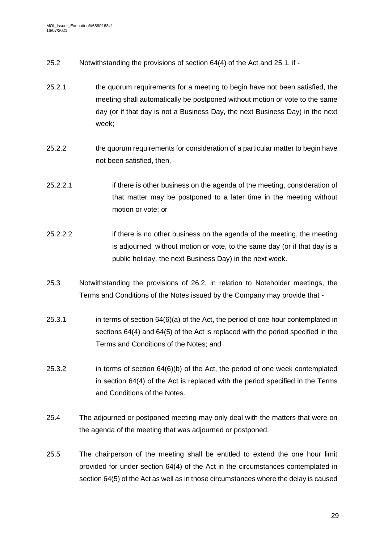- 25.2 Notwithstanding the provisions of section 64(4) of the Act and [25.1,](#page-27-1) if -
- 25.2.1 the quorum requirements for a meeting to begin have not been satisfied, the meeting shall automatically be postponed without motion or vote to the same day (or if that day is not a Business Day, the next Business Day) in the next week;
- 25.2.2 the quorum requirements for consideration of a particular matter to begin have not been satisfied, then, -
- 25.2.2.1 if there is other business on the agenda of the meeting, consideration of that matter may be postponed to a later time in the meeting without motion or vote; or
- 25.2.2.2 if there is no other business on the agenda of the meeting, the meeting is adjourned, without motion or vote, to the same day (or if that day is a public holiday, the next Business Day) in the next week.
- 25.3 Notwithstanding the provisions of 26.2, in relation to Noteholder meetings, the Terms and Conditions of the Notes issued by the Company may provide that -
- 25.3.1 in terms of section 64(6)(a) of the Act, the period of one hour contemplated in sections 64(4) and 64(5) of the Act is replaced with the period specified in the Terms and Conditions of the Notes; and
- 25.3.2 in terms of section 64(6)(b) of the Act, the period of one week contemplated in section 64(4) of the Act is replaced with the period specified in the Terms and Conditions of the Notes.
- 25.4 The adjourned or postponed meeting may only deal with the matters that were on the agenda of the meeting that was adjourned or postponed.
- 25.5 The chairperson of the meeting shall be entitled to extend the one hour limit provided for under section 64(4) of the Act in the circumstances contemplated in section 64(5) of the Act as well as in those circumstances where the delay is caused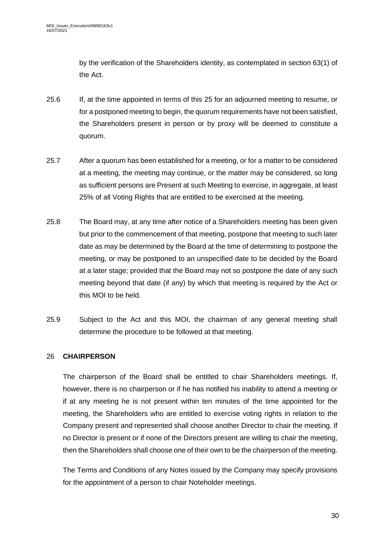by the verification of the Shareholders identity, as contemplated in section 63(1) of the Act.

- <span id="page-29-1"></span>25.6 If, at the time appointed in terms of this [25](#page-27-0) for an adjourned meeting to resume, or for a postponed meeting to begin, the quorum requirements have not been satisfied, the Shareholders present in person or by proxy will be deemed to constitute a quorum.
- 25.7 After a quorum has been established for a meeting, or for a matter to be considered at a meeting, the meeting may continue, or the matter may be considered, so long as sufficient persons are Present at such Meeting to exercise, in aggregate, at least 25% of all Voting Rights that are entitled to be exercised at the meeting.
- 25.8 The Board may, at any time after notice of a Shareholders meeting has been given but prior to the commencement of that meeting, postpone that meeting to such later date as may be determined by the Board at the time of determining to postpone the meeting, or may be postponed to an unspecified date to be decided by the Board at a later stage; provided that the Board may not so postpone the date of any such meeting beyond that date (if any) by which that meeting is required by the Act or this MOI to be held.
- 25.9 Subject to the Act and this MOI, the chairman of any general meeting shall determine the procedure to be followed at that meeting.

## <span id="page-29-0"></span>26 **CHAIRPERSON**

The chairperson of the Board shall be entitled to chair Shareholders meetings. If, however, there is no chairperson or if he has notified his inability to attend a meeting or if at any meeting he is not present within ten minutes of the time appointed for the meeting, the Shareholders who are entitled to exercise voting rights in relation to the Company present and represented shall choose another Director to chair the meeting. If no Director is present or if none of the Directors present are willing to chair the meeting, then the Shareholders shall choose one of their own to be the chairperson of the meeting.

The Terms and Conditions of any Notes issued by the Company may specify provisions for the appointment of a person to chair Noteholder meetings.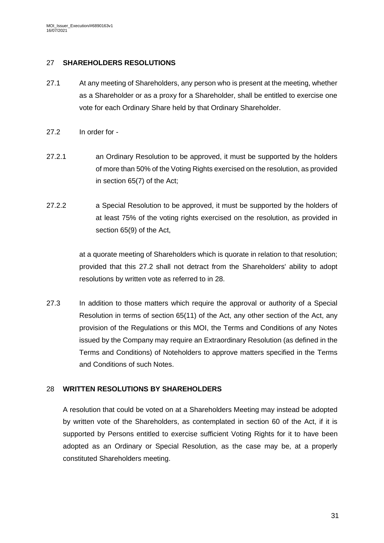### <span id="page-30-0"></span>27 **SHAREHOLDERS RESOLUTIONS**

- 27.1 At any meeting of Shareholders, any person who is present at the meeting, whether as a Shareholder or as a proxy for a Shareholder, shall be entitled to exercise one vote for each Ordinary Share held by that Ordinary Shareholder.
- <span id="page-30-2"></span>27.2 In order for -
- 27.2.1 an Ordinary Resolution to be approved, it must be supported by the holders of more than 50% of the Voting Rights exercised on the resolution, as provided in section 65(7) of the Act;
- 27.2.2 a Special Resolution to be approved, it must be supported by the holders of at least 75% of the voting rights exercised on the resolution, as provided in section 65(9) of the Act,

at a quorate meeting of Shareholders which is quorate in relation to that resolution; provided that this [27.2](#page-30-2) shall not detract from the Shareholders' ability to adopt resolutions by written vote as referred to in [28.](#page-30-1)

27.3 In addition to those matters which require the approval or authority of a Special Resolution in terms of section 65(11) of the Act, any other section of the Act, any provision of the Regulations or this MOI, the Terms and Conditions of any Notes issued by the Company may require an Extraordinary Resolution (as defined in the Terms and Conditions) of Noteholders to approve matters specified in the Terms and Conditions of such Notes.

## <span id="page-30-1"></span>28 **WRITTEN RESOLUTIONS BY SHAREHOLDERS**

A resolution that could be voted on at a Shareholders Meeting may instead be adopted by written vote of the Shareholders, as contemplated in section 60 of the Act, if it is supported by Persons entitled to exercise sufficient Voting Rights for it to have been adopted as an Ordinary or Special Resolution, as the case may be, at a properly constituted Shareholders meeting.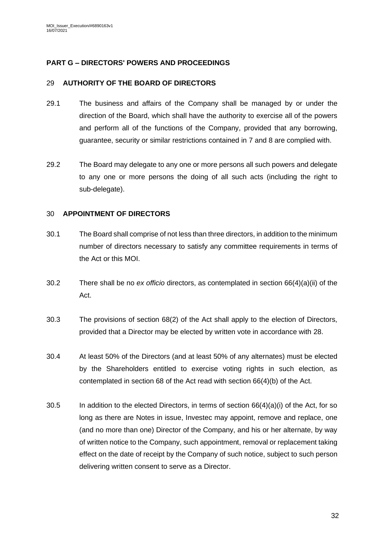## <span id="page-31-0"></span>**PART G – DIRECTORS' POWERS AND PROCEEDINGS**

### <span id="page-31-1"></span>29 **AUTHORITY OF THE BOARD OF DIRECTORS**

- 29.1 The business and affairs of the Company shall be managed by or under the direction of the Board, which shall have the authority to exercise all of the powers and perform all of the functions of the Company, provided that any borrowing, guarantee, security or similar restrictions contained in [7](#page-9-2) and [8](#page-13-1) are complied with.
- <span id="page-31-5"></span>29.2 The Board may delegate to any one or more persons all such powers and delegate to any one or more persons the doing of all such acts (including the right to sub-delegate).

### <span id="page-31-2"></span>30 **APPOINTMENT OF DIRECTORS**

- 30.1 The Board shall comprise of not less than three directors, in addition to the minimum number of directors necessary to satisfy any committee requirements in terms of the Act or this MOI.
- 30.2 There shall be no *ex officio* directors, as contemplated in section 66(4)(a)(ii) of the Act.
- <span id="page-31-4"></span>30.3 The provisions of section 68(2) of the Act shall apply to the election of Directors, provided that a Director may be elected by written vote in accordance with [28.](#page-30-1)
- 30.4 At least 50% of the Directors (and at least 50% of any alternates) must be elected by the Shareholders entitled to exercise voting rights in such election, as contemplated in section 68 of the Act read with section 66(4)(b) of the Act.
- <span id="page-31-3"></span>30.5 In addition to the elected Directors, in terms of section  $66(4)(a)(i)$  of the Act, for so long as there are Notes in issue, Investec may appoint, remove and replace, one (and no more than one) Director of the Company, and his or her alternate, by way of written notice to the Company, such appointment, removal or replacement taking effect on the date of receipt by the Company of such notice, subject to such person delivering written consent to serve as a Director.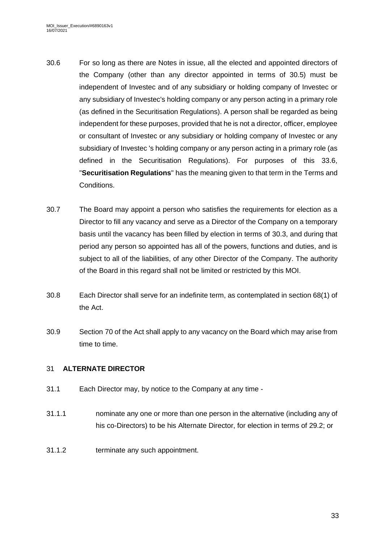- 30.6 For so long as there are Notes in issue, all the elected and appointed directors of the Company (other than any director appointed in terms of [30.5\)](#page-31-3) must be independent of Investec and of any subsidiary or holding company of Investec or any subsidiary of Investec's holding company or any person acting in a primary role (as defined in the Securitisation Regulations). A person shall be regarded as being independent for these purposes, provided that he is not a director, officer, employee or consultant of Investec or any subsidiary or holding company of Investec or any subsidiary of Investec 's holding company or any person acting in a primary role (as defined in the Securitisation Regulations). For purposes of this 33.6, "**Securitisation Regulations**" has the meaning given to that term in the Terms and Conditions.
- 30.7 The Board may appoint a person who satisfies the requirements for election as a Director to fill any vacancy and serve as a Director of the Company on a temporary basis until the vacancy has been filled by election in terms of [30.3,](#page-31-4) and during that period any person so appointed has all of the powers, functions and duties, and is subject to all of the liabilities, of any other Director of the Company. The authority of the Board in this regard shall not be limited or restricted by this MOI.
- 30.8 Each Director shall serve for an indefinite term, as contemplated in section 68(1) of the Act.
- 30.9 Section 70 of the Act shall apply to any vacancy on the Board which may arise from time to time.

## <span id="page-32-0"></span>31 **ALTERNATE DIRECTOR**

- 31.1 Each Director may, by notice to the Company at any time -
- 31.1.1 nominate any one or more than one person in the alternative (including any of his co-Directors) to be his Alternate Director, for election in terms of [29.2;](#page-31-5) or
- 31.1.2 terminate any such appointment.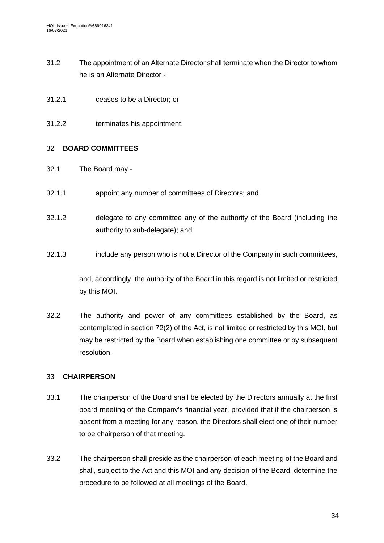- 31.2 The appointment of an Alternate Director shall terminate when the Director to whom he is an Alternate Director -
- 31.2.1 ceases to be a Director; or
- 31.2.2 terminates his appointment.

# <span id="page-33-0"></span>32 **BOARD COMMITTEES**

- 32.1 The Board may -
- 32.1.1 appoint any number of committees of Directors; and
- 32.1.2 delegate to any committee any of the authority of the Board (including the authority to sub-delegate); and
- 32.1.3 include any person who is not a Director of the Company in such committees,

and, accordingly, the authority of the Board in this regard is not limited or restricted by this MOI.

32.2 The authority and power of any committees established by the Board, as contemplated in section 72(2) of the Act, is not limited or restricted by this MOI, but may be restricted by the Board when establishing one committee or by subsequent resolution.

# <span id="page-33-1"></span>33 **CHAIRPERSON**

- 33.1 The chairperson of the Board shall be elected by the Directors annually at the first board meeting of the Company's financial year, provided that if the chairperson is absent from a meeting for any reason, the Directors shall elect one of their number to be chairperson of that meeting.
- 33.2 The chairperson shall preside as the chairperson of each meeting of the Board and shall, subject to the Act and this MOI and any decision of the Board, determine the procedure to be followed at all meetings of the Board.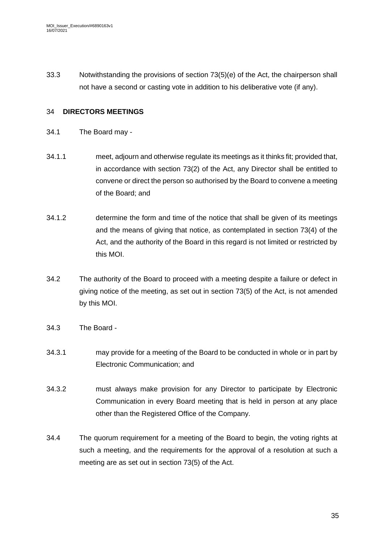33.3 Notwithstanding the provisions of section 73(5)(e) of the Act, the chairperson shall not have a second or casting vote in addition to his deliberative vote (if any).

### <span id="page-34-0"></span>34 **DIRECTORS MEETINGS**

- 34.1 The Board may -
- 34.1.1 meet, adjourn and otherwise regulate its meetings as it thinks fit; provided that, in accordance with section 73(2) of the Act, any Director shall be entitled to convene or direct the person so authorised by the Board to convene a meeting of the Board; and
- 34.1.2 determine the form and time of the notice that shall be given of its meetings and the means of giving that notice, as contemplated in section 73(4) of the Act, and the authority of the Board in this regard is not limited or restricted by this MOI.
- 34.2 The authority of the Board to proceed with a meeting despite a failure or defect in giving notice of the meeting, as set out in section 73(5) of the Act, is not amended by this MOI.
- 34.3 The Board -
- 34.3.1 may provide for a meeting of the Board to be conducted in whole or in part by Electronic Communication; and
- 34.3.2 must always make provision for any Director to participate by Electronic Communication in every Board meeting that is held in person at any place other than the Registered Office of the Company.
- 34.4 The quorum requirement for a meeting of the Board to begin, the voting rights at such a meeting, and the requirements for the approval of a resolution at such a meeting are as set out in section 73(5) of the Act.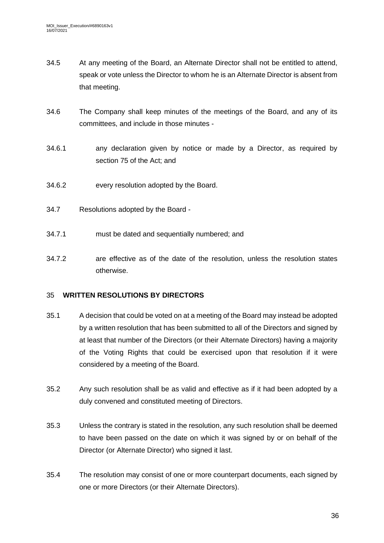- 34.5 At any meeting of the Board, an Alternate Director shall not be entitled to attend, speak or vote unless the Director to whom he is an Alternate Director is absent from that meeting.
- 34.6 The Company shall keep minutes of the meetings of the Board, and any of its committees, and include in those minutes -
- 34.6.1 any declaration given by notice or made by a Director, as required by [section](file:///D:/submissions/COMPANIES%20ACT,%202008.htm%23section75%23section75) 75 of the Act; and
- 34.6.2 every resolution adopted by the Board.
- 34.7 Resolutions adopted by the Board -
- 34.7.1 must be dated and sequentially numbered; and
- 34.7.2 are effective as of the date of the resolution, unless the resolution states otherwise.

#### <span id="page-35-0"></span>35 **WRITTEN RESOLUTIONS BY DIRECTORS**

- 35.1 A decision that could be voted on at a meeting of the Board may instead be adopted by a written resolution that has been submitted to all of the Directors and signed by at least that number of the Directors (or their Alternate Directors) having a majority of the Voting Rights that could be exercised upon that resolution if it were considered by a meeting of the Board.
- 35.2 Any such resolution shall be as valid and effective as if it had been adopted by a duly convened and constituted meeting of Directors.
- 35.3 Unless the contrary is stated in the resolution, any such resolution shall be deemed to have been passed on the date on which it was signed by or on behalf of the Director (or Alternate Director) who signed it last.
- 35.4 The resolution may consist of one or more counterpart documents, each signed by one or more Directors (or their Alternate Directors).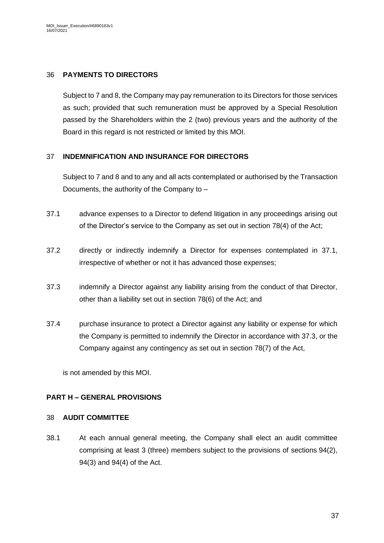### <span id="page-36-0"></span>36 **PAYMENTS TO DIRECTORS**

Subject to [7](#page-9-2) an[d 8,](#page-13-1) the Company may pay remuneration to its Directors for those services as such; provided that such remuneration must be approved by a Special Resolution passed by the Shareholders within the 2 (two) previous years and the authority of the Board in this regard is not restricted or limited by this MOI.

### <span id="page-36-1"></span>37 **INDEMNIFICATION AND INSURANCE FOR DIRECTORS**

Subject t[o 7](#page-9-2) an[d 8](#page-13-1) and to any and all acts contemplated or authorised by the Transaction Documents, the authority of the Company to –

- <span id="page-36-4"></span>37.1 advance expenses to a Director to defend litigation in any proceedings arising out of the Director's service to the Company as set out in section 78(4) of the Act;
- 37.2 directly or indirectly indemnify a Director for expenses contemplated in [37.1,](#page-36-4) irrespective of whether or not it has advanced those expenses;
- <span id="page-36-5"></span>37.3 indemnify a Director against any liability arising from the conduct of that Director, other than a liability set out in section 78(6) of the Act; and
- 37.4 purchase insurance to protect a Director against any liability or expense for which the Company is permitted to indemnify the Director in accordance with [37.3,](#page-36-5) or the Company against any contingency as set out in section 78(7) of the Act,

is not amended by this MOI.

## <span id="page-36-2"></span>**PART H – GENERAL PROVISIONS**

#### <span id="page-36-3"></span>38 **AUDIT COMMITTEE**

38.1 At each annual general meeting, the Company shall elect an audit committee comprising at least 3 (three) members subject to the provisions of sections 94(2), 94(3) and 94(4) of the Act.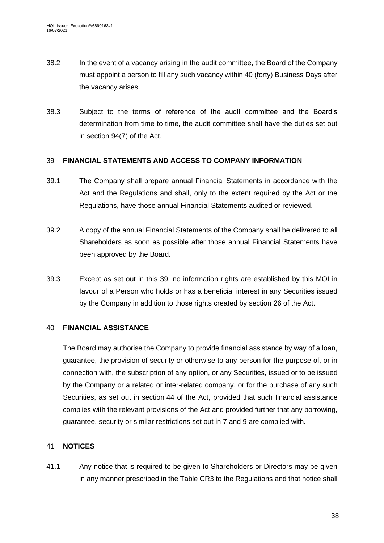- 38.2 In the event of a vacancy arising in the audit committee, the Board of the Company must appoint a person to fill any such vacancy within 40 (forty) Business Days after the vacancy arises.
- 38.3 Subject to the terms of reference of the audit committee and the Board's determination from time to time, the audit committee shall have the duties set out in section 94(7) of the Act.

# <span id="page-37-0"></span>39 **FINANCIAL STATEMENTS AND ACCESS TO COMPANY INFORMATION**

- 39.1 The Company shall prepare annual Financial Statements in accordance with the Act and the Regulations and shall, only to the extent required by the Act or the Regulations, have those annual Financial Statements audited or reviewed.
- 39.2 A copy of the annual Financial Statements of the Company shall be delivered to all Shareholders as soon as possible after those annual Financial Statements have been approved by the Board.
- 39.3 Except as set out in this [39,](#page-37-0) no information rights are established by this MOI in favour of a Person who holds or has a beneficial interest in any Securities issued by the Company in addition to those rights created by section 26 of the Act.

# <span id="page-37-1"></span>40 **FINANCIAL ASSISTANCE**

The Board may authorise the Company to provide financial assistance by way of a loan, guarantee, the provision of security or otherwise to any person for the purpose of, or in connection with, the subscription of any option, or any Securities, issued or to be issued by the Company or a related or inter-related company, or for the purchase of any such Securities, as set out in section 44 of the Act, provided that such financial assistance complies with the relevant provisions of the Act and provided further that any borrowing, guarantee, security or similar restrictions set out in [7](#page-9-2) and [9](#page-16-1) are complied with.

# <span id="page-37-2"></span>41 **NOTICES**

41.1 Any notice that is required to be given to Shareholders or Directors may be given in any manner prescribed in the Table CR3 to the Regulations and that notice shall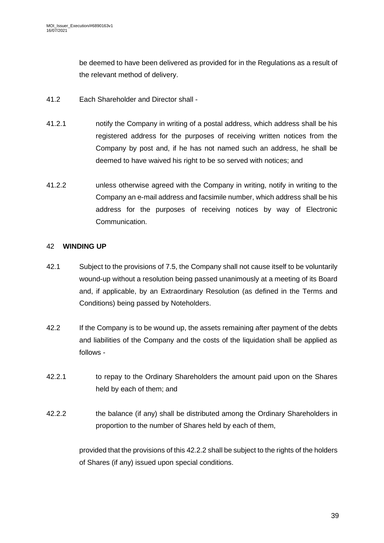be deemed to have been delivered as provided for in the Regulations as a result of the relevant method of delivery.

- 41.2 Each Shareholder and Director shall -
- 41.2.1 notify the Company in writing of a postal address, which address shall be his registered address for the purposes of receiving written notices from the Company by post and, if he has not named such an address, he shall be deemed to have waived his right to be so served with notices; and
- 41.2.2 unless otherwise agreed with the Company in writing, notify in writing to the Company an e-mail address and facsimile number, which address shall be his address for the purposes of receiving notices by way of Electronic Communication.

### <span id="page-38-0"></span>42 **WINDING UP**

- 42.1 Subject to the provisions of [7.5,](#page-13-3) the Company shall not cause itself to be voluntarily wound-up without a resolution being passed unanimously at a meeting of its Board and, if applicable, by an Extraordinary Resolution (as defined in the Terms and Conditions) being passed by Noteholders.
- 42.2 If the Company is to be wound up, the assets remaining after payment of the debts and liabilities of the Company and the costs of the liquidation shall be applied as follows -
- 42.2.1 to repay to the Ordinary Shareholders the amount paid upon on the Shares held by each of them; and
- <span id="page-38-1"></span>42.2.2 the balance (if any) shall be distributed among the Ordinary Shareholders in proportion to the number of Shares held by each of them,

provided that the provisions of this [42.2.2](#page-38-1) shall be subject to the rights of the holders of Shares (if any) issued upon special conditions.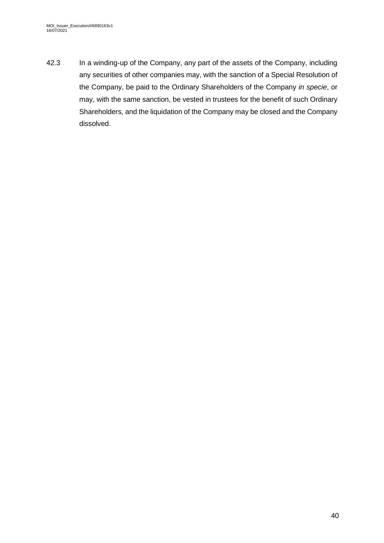42.3 In a winding-up of the Company, any part of the assets of the Company, including any securities of other companies may, with the sanction of a Special Resolution of the Company, be paid to the Ordinary Shareholders of the Company *in specie*, or may, with the same sanction, be vested in trustees for the benefit of such Ordinary Shareholders, and the liquidation of the Company may be closed and the Company dissolved.